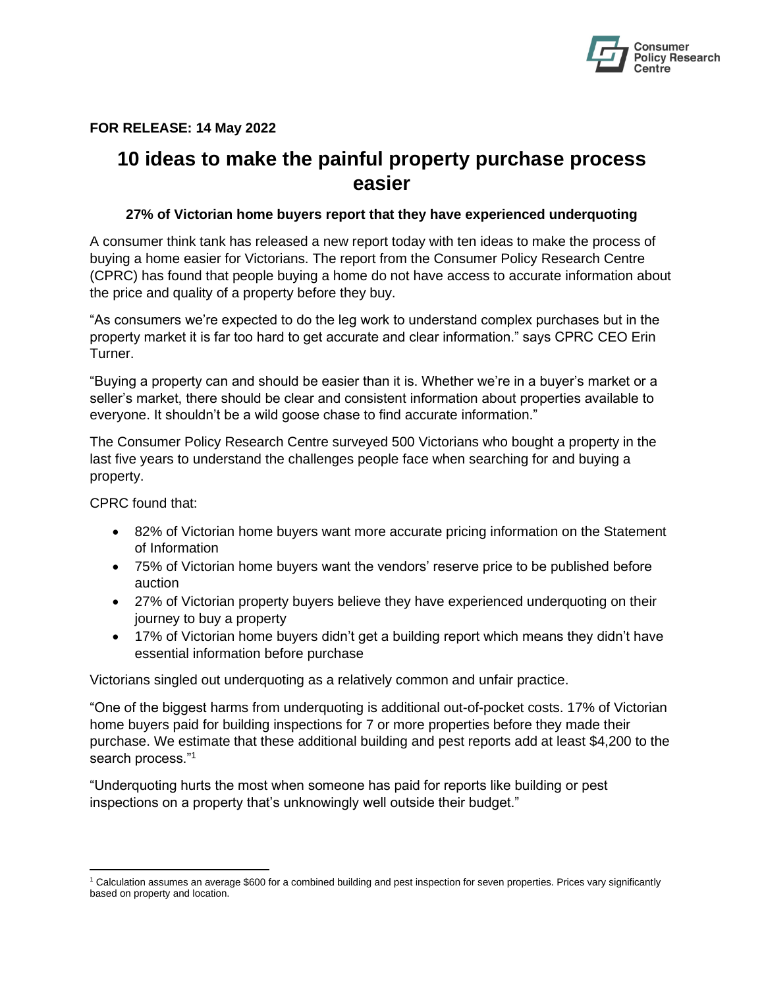

# **FOR RELEASE: 14 May 2022**

# **10 ideas to make the painful property purchase process easier**

# **27% of Victorian home buyers report that they have experienced underquoting**

A consumer think tank has released a new report today with ten ideas to make the process of buying a home easier for Victorians. The report from the Consumer Policy Research Centre (CPRC) has found that people buying a home do not have access to accurate information about the price and quality of a property before they buy.

"As consumers we're expected to do the leg work to understand complex purchases but in the property market it is far too hard to get accurate and clear information." says CPRC CEO Erin Turner.

"Buying a property can and should be easier than it is. Whether we're in a buyer's market or a seller's market, there should be clear and consistent information about properties available to everyone. It shouldn't be a wild goose chase to find accurate information."

The Consumer Policy Research Centre surveyed 500 Victorians who bought a property in the last five years to understand the challenges people face when searching for and buying a property.

CPRC found that:

- 82% of Victorian home buyers want more accurate pricing information on the Statement of Information
- 75% of Victorian home buyers want the vendors' reserve price to be published before auction
- 27% of Victorian property buyers believe they have experienced underquoting on their journey to buy a property
- 17% of Victorian home buyers didn't get a building report which means they didn't have essential information before purchase

Victorians singled out underquoting as a relatively common and unfair practice.

"One of the biggest harms from underquoting is additional out-of-pocket costs. 17% of Victorian home buyers paid for building inspections for 7 or more properties before they made their purchase. We estimate that these additional building and pest reports add at least \$4,200 to the search process."<sup>1</sup>

"Underquoting hurts the most when someone has paid for reports like building or pest inspections on a property that's unknowingly well outside their budget."

<sup>1</sup> Calculation assumes an average \$600 for a combined building and pest inspection for seven properties. Prices vary significantly based on property and location.